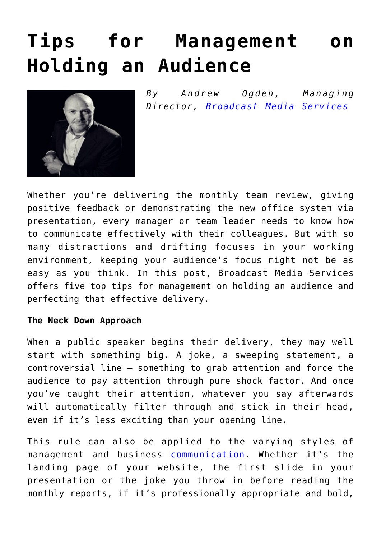# **[Tips for Management on](https://www.commpro.biz/tips-for-management-on-holding-an-audience/) [Holding an Audience](https://www.commpro.biz/tips-for-management-on-holding-an-audience/)**



*By Andrew Ogden, Managing Director, [Broadcast Media Services](https://www.broadcastmedia.co.uk/)*

Whether you're delivering the monthly team review, giving positive feedback or demonstrating the new office system via presentation, every manager or team leader needs to know how to communicate effectively with their colleagues. But with so many distractions and drifting focuses in your working environment, keeping your audience's focus might not be as easy as you think. In this post, Broadcast Media Services offers five top tips for management on holding an audience and perfecting that effective delivery.

## **The Neck Down Approach**

When a public speaker begins their delivery, they may well start with something big. A joke, a sweeping statement, a controversial line – something to grab attention and force the audience to pay attention through pure shock factor. And once you've caught their attention, whatever you say afterwards will automatically filter through and stick in their head, even if it's less exciting than your opening line.

This rule can also be applied to the varying styles of management and business [communication.](https://www.commpro.biz/) Whether it's the landing page of your website, the first slide in your presentation or the joke you throw in before reading the monthly reports, if it's professionally appropriate and bold,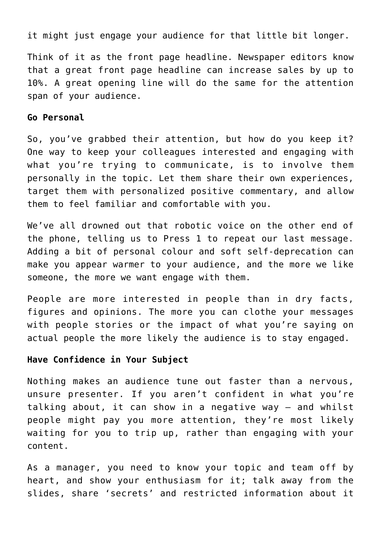it might just engage your audience for that little bit longer.

Think of it as the front page headline. Newspaper editors know that a great front page headline can increase sales by up to 10%. A great opening line will do the same for the attention span of your audience.

#### **Go Personal**

So, you've grabbed their attention, but how do you keep it? One way to keep your colleagues interested and engaging with what you're trying to communicate, is to involve them personally in the topic. Let them share their own experiences, target them with personalized positive commentary, and allow them to feel familiar and comfortable with you.

We've all drowned out that robotic voice on the other end of the phone, telling us to Press 1 to repeat our last message. Adding a bit of personal colour and soft self-deprecation can make you appear warmer to your audience, and the more we like someone, the more we want engage with them.

People are more interested in people than in dry facts, figures and opinions. The more you can clothe your messages with people stories or the impact of what you're saying on actual people the more likely the audience is to stay engaged.

#### **Have Confidence in Your Subject**

Nothing makes an audience tune out faster than a nervous, unsure presenter. If you aren't confident in what you're talking about, it can show in a negative way – and whilst people might pay you more attention, they're most likely waiting for you to trip up, rather than engaging with your content.

As a manager, you need to know your topic and team off by heart, and show your enthusiasm for it; talk away from the slides, share 'secrets' and restricted information about it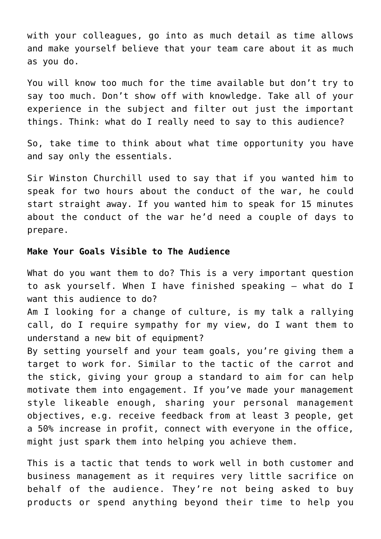with your colleagues, go into as much detail as time allows and make yourself believe that your team care about it as much as you do.

You will know too much for the time available but don't try to say too much. Don't show off with knowledge. Take all of your experience in the subject and filter out just the important things. Think: what do I really need to say to this audience?

So, take time to think about what time opportunity you have and say only the essentials.

Sir Winston Churchill used to say that if you wanted him to speak for two hours about the conduct of the war, he could start straight away. If you wanted him to speak for 15 minutes about the conduct of the war he'd need a couple of days to prepare.

## **Make Your Goals Visible to The Audience**

What do you want them to do? This is a very important question to ask yourself. When I have finished speaking – what do I want this audience to do?

Am I looking for a change of culture, is my talk a rallying call, do I require sympathy for my view, do I want them to understand a new bit of equipment?

By setting yourself and your team goals, you're giving them a target to work for. Similar to the tactic of the carrot and the stick, giving your group a standard to aim for can help motivate them into engagement. If you've made your management style likeable enough, sharing your personal management objectives, e.g. receive feedback from at least 3 people, get a 50% increase in profit, connect with everyone in the office, might just spark them into helping you achieve them.

This is a tactic that tends to work well in both customer and business management as it requires very little sacrifice on behalf of the audience. They're not being asked to buy products or spend anything beyond their time to help you